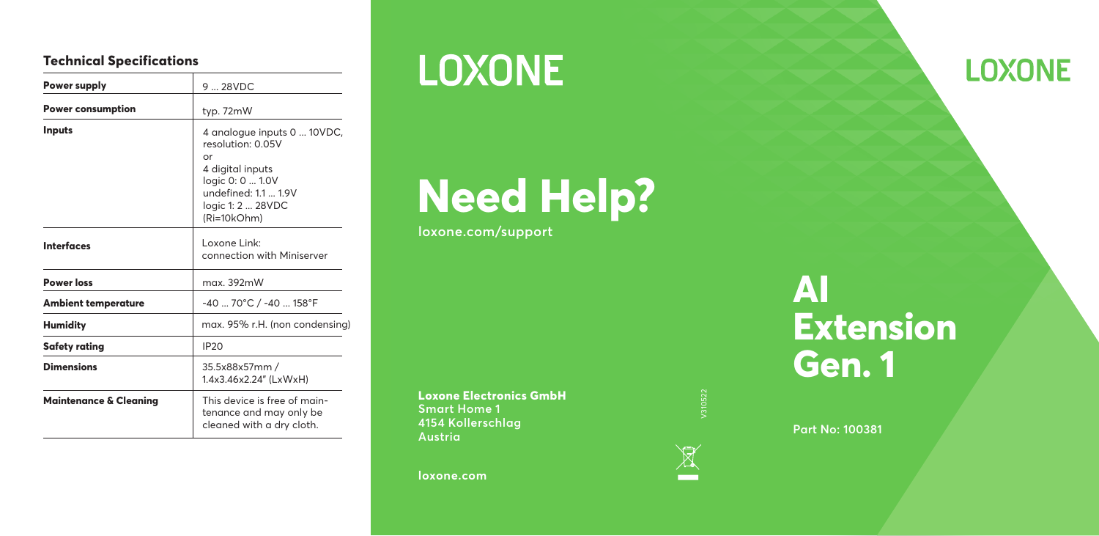#### **Technical Specifications**

| Power supply                      | $9 - 28VDC$                                                                                                                                                |
|-----------------------------------|------------------------------------------------------------------------------------------------------------------------------------------------------------|
| <b>Power consumption</b>          | typ. 72mW                                                                                                                                                  |
| <b>Inputs</b>                     | 4 analogue inputs 0  10VDC,<br>resolution: 0.05V<br>or<br>4 digital inputs<br>logic 0: 0  1.0V<br>undefined: 1.1  1.9V<br>logic 1: 2  28VDC<br>(Ri=10kOhm) |
| <b>Interfaces</b>                 | l oxone Link:<br>connection with Miniserver                                                                                                                |
| <b>Power loss</b>                 | max. 392mW                                                                                                                                                 |
| <b>Ambient temperature</b>        | -40  70°C / -40  158°F                                                                                                                                     |
| <b>Humidity</b>                   | max. 95% r.H. (non condensing)                                                                                                                             |
| Safety rating                     | <b>IP20</b>                                                                                                                                                |
| <b>Dimensions</b>                 | 35.5x88x57mm /<br>1.4x3.46x2.24" (LxWxH)                                                                                                                   |
| <b>Maintenance &amp; Cleaning</b> | This device is free of main-<br>tenance and may only be<br>cleaned with a dry cloth.                                                                       |

## **LOXONE**

# **Need Help?**

**loxone.com/support**

**Loxone Electronics GmbH Smart Home 1 4154 Kollerschlag Austria**

**loxone.com**



### **AI Extension Gen. 1**

**Part No: 100381**

**LOXONE**